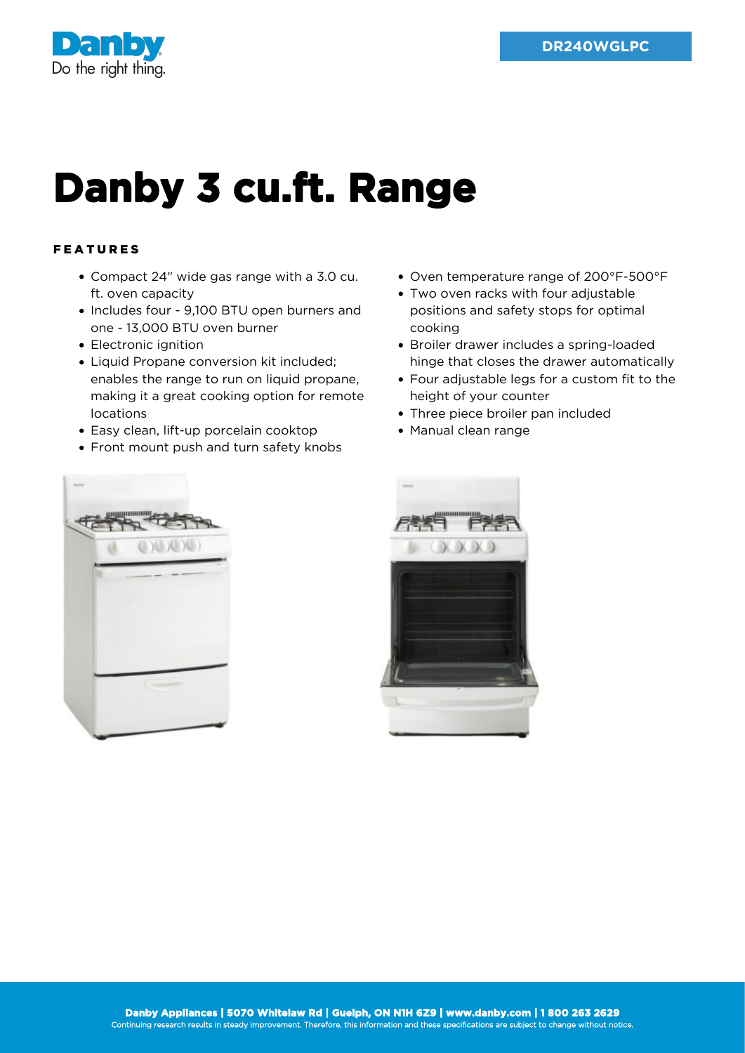

## **Danby 3 cu.ft. Range**

## FEATURES

- Compact 24" wide gas range with a 3.0 cu. ft. oven capacity
- Includes four 9,100 BTU open burners and one - 13,000 BTU oven burner
- Electronic ignition
- Liquid Propane conversion kit included; enables the range to run on liquid propane, making it a great cooking option for remote locations
- Easy clean, lift-up porcelain cooktop
- Front mount push and turn safety knobs
- Oven temperature range of 200°F-500°F
- Two oven racks with four adjustable positions and safety stops for optimal cooking
- Broiler drawer includes a spring-loaded hinge that closes the drawer automatically
- Four adjustable legs for a custom fit to the height of your counter
- Three piece broiler pan included
- Manual clean range